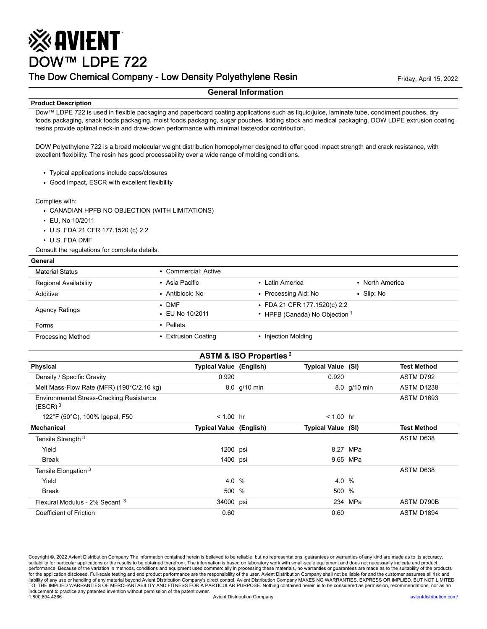# ※AVIENT DOW™ LDPE 722

## The Dow Chemical Company - Low Density Polyethylene Resin Friday, April 15, 2022

#### **General Information**

#### **Product Description**

Dow™ LDPE 722 is used in flexible packaging and paperboard coating applications such as liquid/juice, laminate tube, condiment pouches, dry foods packaging, snack foods packaging, moist foods packaging, sugar pouches, lidding stock and medical packaging. DOW LDPE extrusion coating resins provide optimal neck-in and draw-down performance with minimal taste/odor contribution.

DOW Polyethylene 722 is a broad molecular weight distribution homopolymer designed to offer good impact strength and crack resistance, with excellent flexibility. The resin has good processability over a wide range of molding conditions.

- Typical applications include caps/closures
- Good impact, ESCR with excellent flexibility

Complies with:

**General**

- CANADIAN HPFB NO OBJECTION (WITH LIMITATIONS)
- EU, No 10/2011
- U.S. FDA 21 CFR 177.1520 (c) 2.2
- U.S. FDA DMF

Consult the regulations for complete details.

| <b>Material Status</b>       | • Commercial: Active                   |                                                                |                  |  |  |
|------------------------------|----------------------------------------|----------------------------------------------------------------|------------------|--|--|
| <b>Regional Availability</b> | • Asia Pacific                         | • Latin America                                                | • North America  |  |  |
| Additive                     | • Antiblock: No                        | • Processing Aid: No                                           | $\cdot$ Slip: No |  |  |
| <b>Agency Ratings</b>        | $\bullet$ DMF<br>$\cdot$ EU No 10/2011 | • FDA 21 CFR 177.1520(c) 2.2<br>• HPFB (Canada) No Objection 1 |                  |  |  |
| Forms                        | • Pellets                              |                                                                |                  |  |  |
| <b>Processing Method</b>     | • Extrusion Coating                    | • Injection Molding                                            |                  |  |  |

| <b>ASTM &amp; ISO Properties</b> <sup>2</sup>          |                                |              |                           |              |                    |  |
|--------------------------------------------------------|--------------------------------|--------------|---------------------------|--------------|--------------------|--|
| <b>Physical</b>                                        | <b>Typical Value (English)</b> |              | <b>Typical Value (SI)</b> |              | <b>Test Method</b> |  |
| Density / Specific Gravity                             | 0.920                          |              | 0.920                     |              | ASTM D792          |  |
| Melt Mass-Flow Rate (MFR) (190°C/2.16 kg)              |                                | 8.0 g/10 min |                           | 8.0 g/10 min | <b>ASTM D1238</b>  |  |
| Environmental Stress-Cracking Resistance<br>$(ESCR)^3$ |                                |              |                           |              | <b>ASTM D1693</b>  |  |
| 122°F (50°C), 100% Igepal, F50                         | $< 1.00$ hr                    |              | $< 1.00$ hr               |              |                    |  |
| Mechanical                                             | <b>Typical Value (English)</b> |              | <b>Typical Value (SI)</b> |              | <b>Test Method</b> |  |
| Tensile Strength <sup>3</sup>                          |                                |              |                           |              | ASTM D638          |  |
| Yield                                                  | 1200 psi                       |              |                           | 8.27 MPa     |                    |  |
| Break                                                  | 1400 psi                       |              |                           | 9.65 MPa     |                    |  |
| Tensile Elongation <sup>3</sup>                        |                                |              |                           |              | ASTM D638          |  |
| Yield                                                  | 4.0 %                          |              | 4.0 %                     |              |                    |  |
| <b>Break</b>                                           | 500 %                          |              | 500 %                     |              |                    |  |
| Flexural Modulus - 2% Secant <sup>3</sup>              | 34000 psi                      |              |                           | 234 MPa      | ASTM D790B         |  |
| Coefficient of Friction                                | 0.60                           |              | 0.60                      |              | ASTM D1894         |  |

Copyright ©, 2022 Avient Distribution Company The information contained herein is believed to be reliable, but no representations, guarantees or warranties of any kind are made as to its accuracy, suitability for particular applications or the results to be obtained therefrom. The information is based on laboratory work with small-scale equipment and does not necessarily indicate end product<br>performance. Because of for the application disclosed. Full-scale testing and end product performance are the responsibility of the user. Avient Distribution Company shall not be liable for and the customer assumes all risk and liability of any use or handling of any material beyond Avient Distribution Company's direct control. Avient Distribution Company MAKES NO WARRANTIES, EXPRESS OR IMPLIED, BUT NOT LIMITED<br>TO, THE IMPLIED WARRANTIES OF MERCH inducement to practice any patented invention without permission of the patent owner.<br>1.800.894.4266 1.800.894.4266 Avient Distribution Company [avientdistribution.com/](https://www.avientdistribution.com/)